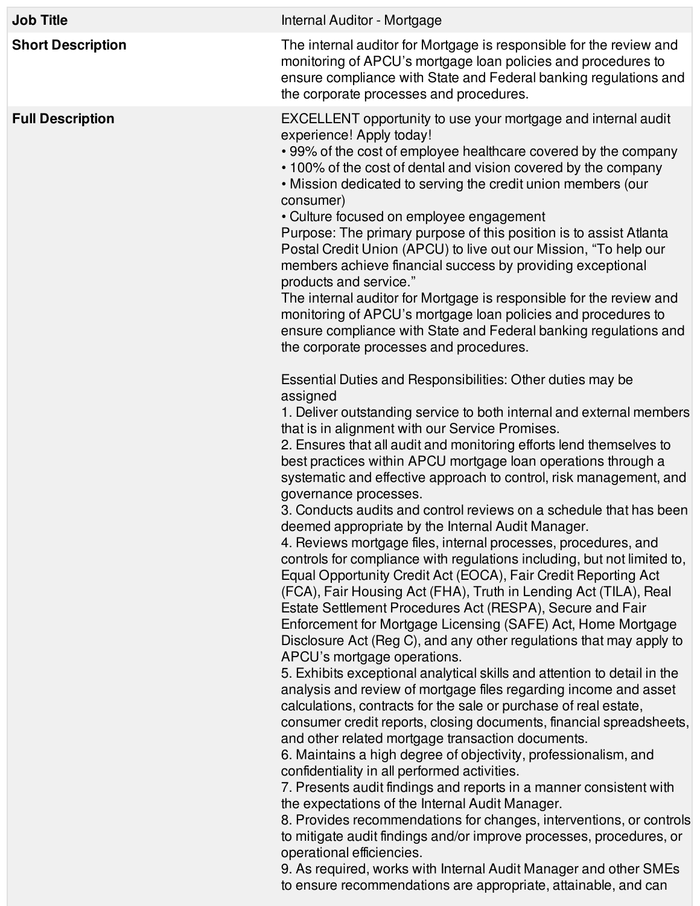| <b>Job Title</b>         | Internal Auditor - Mortgage                                                                                                                                                                                                                                                                                                                                                                                                                                                                                                                                                                                                                                                                                                                                                                                                                                                                                                                                                                                                                                                                                                                                                                                                                                                                                                                                                                                                                                                                                                                                                                                                                                                                                                                                                                                                                                                                                                          |
|--------------------------|--------------------------------------------------------------------------------------------------------------------------------------------------------------------------------------------------------------------------------------------------------------------------------------------------------------------------------------------------------------------------------------------------------------------------------------------------------------------------------------------------------------------------------------------------------------------------------------------------------------------------------------------------------------------------------------------------------------------------------------------------------------------------------------------------------------------------------------------------------------------------------------------------------------------------------------------------------------------------------------------------------------------------------------------------------------------------------------------------------------------------------------------------------------------------------------------------------------------------------------------------------------------------------------------------------------------------------------------------------------------------------------------------------------------------------------------------------------------------------------------------------------------------------------------------------------------------------------------------------------------------------------------------------------------------------------------------------------------------------------------------------------------------------------------------------------------------------------------------------------------------------------------------------------------------------------|
| <b>Short Description</b> | The internal auditor for Mortgage is responsible for the review and<br>monitoring of APCU's mortgage loan policies and procedures to<br>ensure compliance with State and Federal banking regulations and<br>the corporate processes and procedures.                                                                                                                                                                                                                                                                                                                                                                                                                                                                                                                                                                                                                                                                                                                                                                                                                                                                                                                                                                                                                                                                                                                                                                                                                                                                                                                                                                                                                                                                                                                                                                                                                                                                                  |
| <b>Full Description</b>  | EXCELLENT opportunity to use your mortgage and internal audit<br>experience! Apply today!<br>• 99% of the cost of employee healthcare covered by the company<br>• 100% of the cost of dental and vision covered by the company<br>. Mission dedicated to serving the credit union members (our<br>consumer)<br>• Culture focused on employee engagement<br>Purpose: The primary purpose of this position is to assist Atlanta<br>Postal Credit Union (APCU) to live out our Mission, "To help our<br>members achieve financial success by providing exceptional<br>products and service."<br>The internal auditor for Mortgage is responsible for the review and<br>monitoring of APCU's mortgage loan policies and procedures to<br>ensure compliance with State and Federal banking regulations and<br>the corporate processes and procedures.                                                                                                                                                                                                                                                                                                                                                                                                                                                                                                                                                                                                                                                                                                                                                                                                                                                                                                                                                                                                                                                                                     |
|                          | Essential Duties and Responsibilities: Other duties may be<br>assigned<br>1. Deliver outstanding service to both internal and external members<br>that is in alignment with our Service Promises.<br>2. Ensures that all audit and monitoring efforts lend themselves to<br>best practices within APCU mortgage loan operations through a<br>systematic and effective approach to control, risk management, and<br>governance processes.<br>3. Conducts audits and control reviews on a schedule that has been<br>deemed appropriate by the Internal Audit Manager.<br>4. Reviews mortgage files, internal processes, procedures, and<br>controls for compliance with regulations including, but not limited to,<br>Equal Opportunity Credit Act (EOCA), Fair Credit Reporting Act<br>(FCA), Fair Housing Act (FHA), Truth in Lending Act (TILA), Real<br>Estate Settlement Procedures Act (RESPA), Secure and Fair<br>Enforcement for Mortgage Licensing (SAFE) Act, Home Mortgage<br>Disclosure Act (Reg C), and any other regulations that may apply to<br>APCU's mortgage operations.<br>5. Exhibits exceptional analytical skills and attention to detail in the<br>analysis and review of mortgage files regarding income and asset<br>calculations, contracts for the sale or purchase of real estate,<br>consumer credit reports, closing documents, financial spreadsheets,<br>and other related mortgage transaction documents.<br>6. Maintains a high degree of objectivity, professionalism, and<br>confidentiality in all performed activities.<br>7. Presents audit findings and reports in a manner consistent with<br>the expectations of the Internal Audit Manager.<br>8. Provides recommendations for changes, interventions, or controls<br>to mitigate audit findings and/or improve processes, procedures, or<br>operational efficiencies.<br>9. As required, works with Internal Audit Manager and other SMEs |

to ensure recommendations are appropriate, attainable, and can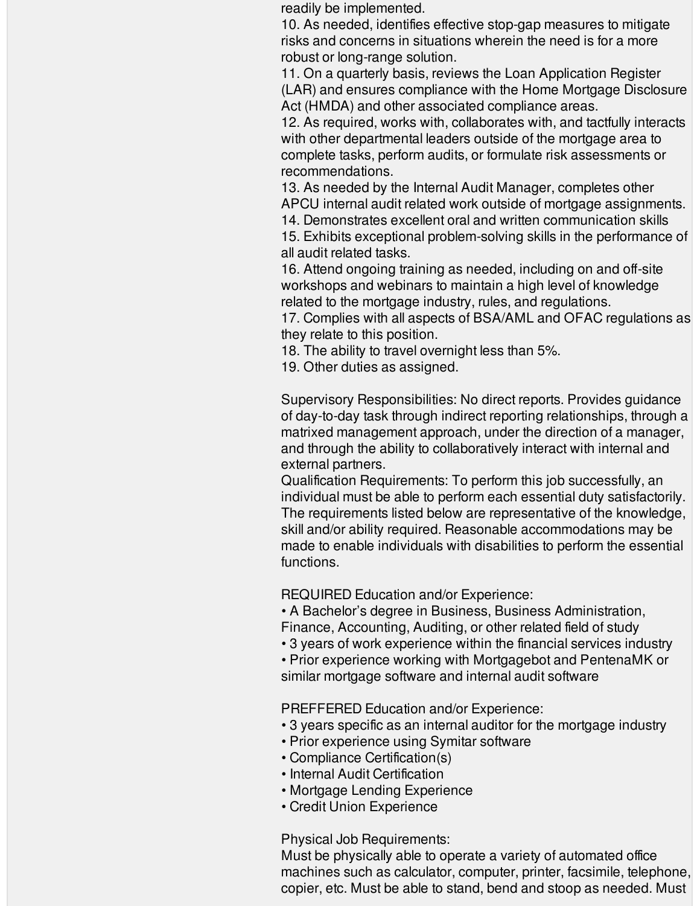readily be implemented.

10. As needed, identifies effective stop-gap measures to mitigate risks and concerns in situations wherein the need is for a more robust or long-range solution.

11. On a quarterly basis, reviews the Loan Application Register (LAR) and ensures compliance with the Home Mortgage Disclosure Act (HMDA) and other associated compliance areas.

12. As required, works with, collaborates with, and tactfully interacts with other departmental leaders outside of the mortgage area to complete tasks, perform audits, or formulate risk assessments or recommendations.

13. As needed by the Internal Audit Manager, completes other APCU internal audit related work outside of mortgage assignments.

14. Demonstrates excellent oral and written communication skills 15. Exhibits exceptional problem-solving skills in the performance of

all audit related tasks.

16. Attend ongoing training as needed, including on and off-site workshops and webinars to maintain a high level of knowledge related to the mortgage industry, rules, and regulations.

17. Complies with all aspects of BSA/AML and OFAC regulations as they relate to this position.

18. The ability to travel overnight less than 5%.

19. Other duties as assigned.

Supervisory Responsibilities: No direct reports. Provides guidance of day-to-day task through indirect reporting relationships, through a matrixed management approach, under the direction of a manager, and through the ability to collaboratively interact with internal and external partners.

Qualification Requirements: To perform this job successfully, an individual must be able to perform each essential duty satisfactorily. The requirements listed below are representative of the knowledge, skill and/or ability required. Reasonable accommodations may be made to enable individuals with disabilities to perform the essential functions.

REQUIRED Education and/or Experience:

• A Bachelor's degree in Business, Business Administration, Finance, Accounting, Auditing, or other related field of study

• 3 years of work experience within the financial services industry

• Prior experience working with Mortgagebot and PentenaMK or similar mortgage software and internal audit software

PREFFERED Education and/or Experience:

- 3 years specific as an internal auditor for the mortgage industry
- Prior experience using Symitar software
- Compliance Certification(s)
- Internal Audit Certification
- Mortgage Lending Experience
- Credit Union Experience

Physical Job Requirements:

Must be physically able to operate a variety of automated office machines such as calculator, computer, printer, facsimile, telephone, copier, etc. Must be able to stand, bend and stoop as needed. Must